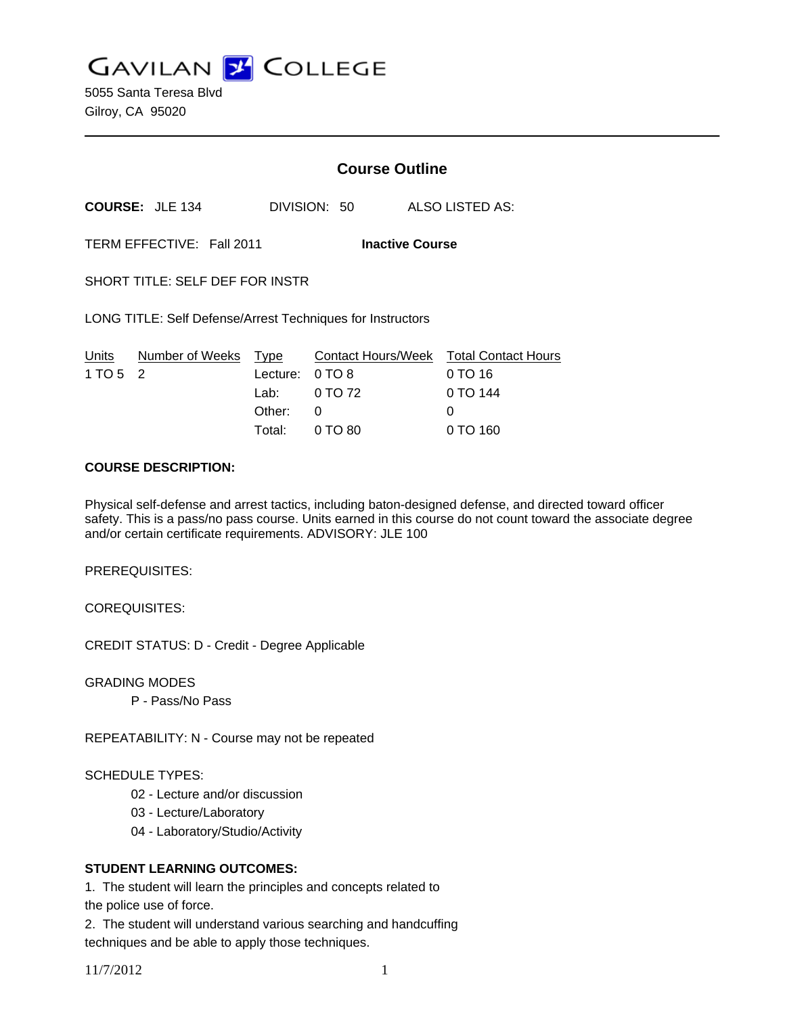**GAVILAN Z COLLEGE** 

5055 Santa Teresa Blvd Gilroy, CA 95020

# **Course Outline**

**COURSE:** JLE 134 DIVISION: 50 ALSO LISTED AS:

TERM EFFECTIVE: Fall 2011 **Inactive Course**

SHORT TITLE: SELF DEF FOR INSTR

LONG TITLE: Self Defense/Arrest Techniques for Instructors

|          | Units Number of Weeks Type |                 | Contact Hours/Week  Total Contact Hours |           |
|----------|----------------------------|-----------------|-----------------------------------------|-----------|
| 1 TO 5 2 |                            | Lecture: 0 TO 8 |                                         | $0$ TO 16 |
|          |                            |                 | Lab: $0 \text{ TO } 72$                 | 0 TO 144  |
|          |                            | Other: 0        |                                         | O         |
|          |                            |                 | Total: 0 TO 80                          | 0 TO 160  |

#### **COURSE DESCRIPTION:**

Physical self-defense and arrest tactics, including baton-designed defense, and directed toward officer safety. This is a pass/no pass course. Units earned in this course do not count toward the associate degree and/or certain certificate requirements. ADVISORY: JLE 100

PREREQUISITES:

COREQUISITES:

CREDIT STATUS: D - Credit - Degree Applicable

GRADING MODES

P - Pass/No Pass

REPEATABILITY: N - Course may not be repeated

#### SCHEDULE TYPES:

- 02 Lecture and/or discussion
- 03 Lecture/Laboratory
- 04 Laboratory/Studio/Activity

### **STUDENT LEARNING OUTCOMES:**

1. The student will learn the principles and concepts related to

the police use of force.

2. The student will understand various searching and handcuffing techniques and be able to apply those techniques.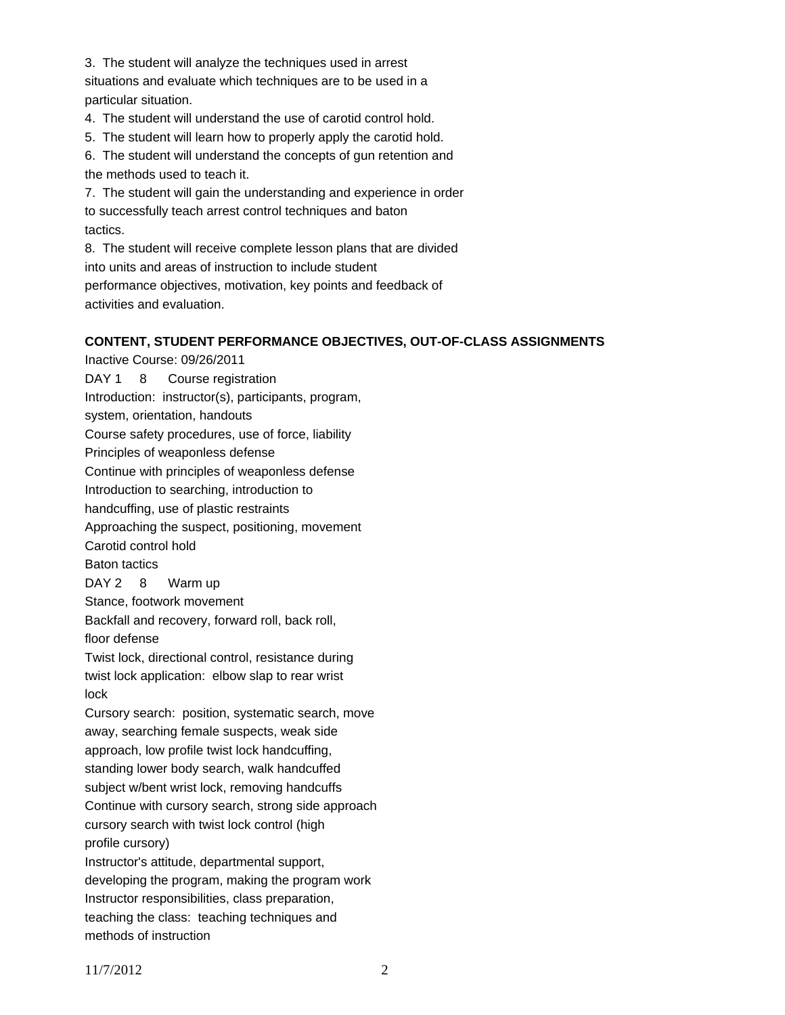3. The student will analyze the techniques used in arrest situations and evaluate which techniques are to be used in a particular situation.

4. The student will understand the use of carotid control hold.

5. The student will learn how to properly apply the carotid hold.

6. The student will understand the concepts of gun retention and the methods used to teach it.

7. The student will gain the understanding and experience in order to successfully teach arrest control techniques and baton tactics.

8. The student will receive complete lesson plans that are divided into units and areas of instruction to include student performance objectives, motivation, key points and feedback of activities and evaluation.

## **CONTENT, STUDENT PERFORMANCE OBJECTIVES, OUT-OF-CLASS ASSIGNMENTS**

Inactive Course: 09/26/2011 DAY 1 8 Course registration Introduction: instructor(s), participants, program, system, orientation, handouts Course safety procedures, use of force, liability Principles of weaponless defense Continue with principles of weaponless defense Introduction to searching, introduction to handcuffing, use of plastic restraints Approaching the suspect, positioning, movement Carotid control hold Baton tactics DAY 2 8 Warm up Stance, footwork movement Backfall and recovery, forward roll, back roll, floor defense Twist lock, directional control, resistance during twist lock application: elbow slap to rear wrist lock Cursory search: position, systematic search, move away, searching female suspects, weak side approach, low profile twist lock handcuffing, standing lower body search, walk handcuffed subject w/bent wrist lock, removing handcuffs Continue with cursory search, strong side approach cursory search with twist lock control (high profile cursory) Instructor's attitude, departmental support, developing the program, making the program work Instructor responsibilities, class preparation, teaching the class: teaching techniques and methods of instruction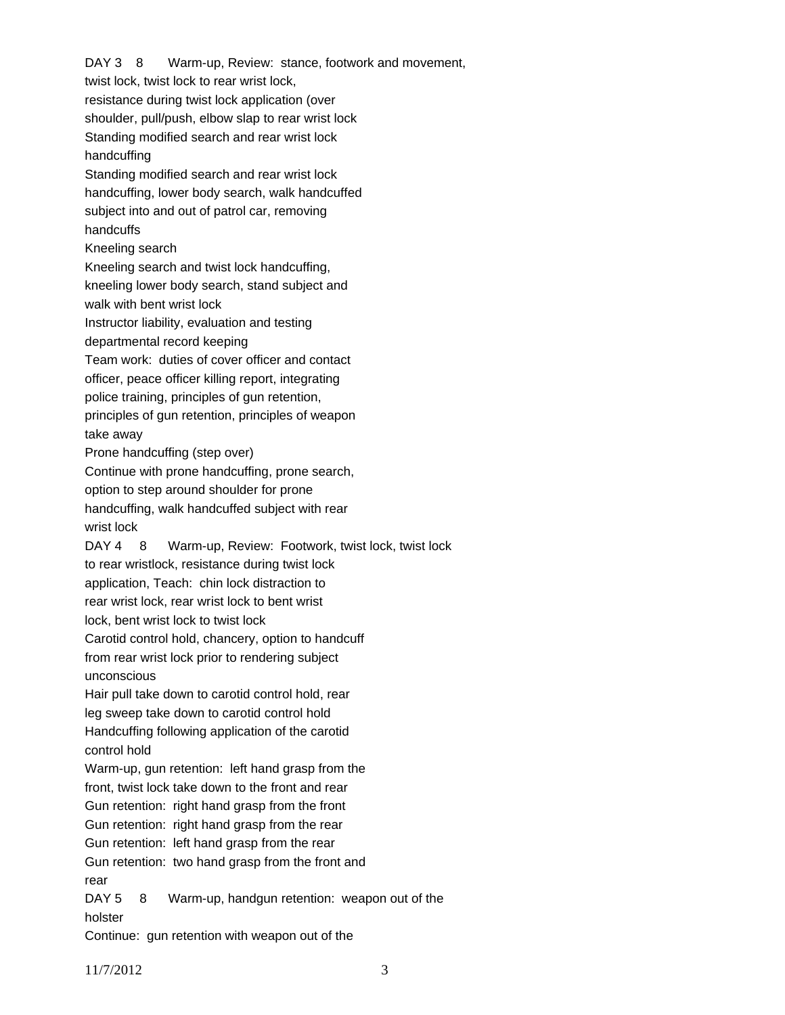DAY 3 8 Warm-up, Review: stance, footwork and movement, twist lock, twist lock to rear wrist lock, resistance during twist lock application (over shoulder, pull/push, elbow slap to rear wrist lock Standing modified search and rear wrist lock handcuffing Standing modified search and rear wrist lock handcuffing, lower body search, walk handcuffed subject into and out of patrol car, removing handcuffs Kneeling search Kneeling search and twist lock handcuffing, kneeling lower body search, stand subject and walk with bent wrist lock Instructor liability, evaluation and testing departmental record keeping Team work: duties of cover officer and contact officer, peace officer killing report, integrating police training, principles of gun retention, principles of gun retention, principles of weapon take away Prone handcuffing (step over) Continue with prone handcuffing, prone search, option to step around shoulder for prone handcuffing, walk handcuffed subject with rear wrist lock DAY 4 8 Warm-up, Review: Footwork, twist lock, twist lock to rear wristlock, resistance during twist lock application, Teach: chin lock distraction to rear wrist lock, rear wrist lock to bent wrist lock, bent wrist lock to twist lock Carotid control hold, chancery, option to handcuff from rear wrist lock prior to rendering subject unconscious Hair pull take down to carotid control hold, rear leg sweep take down to carotid control hold Handcuffing following application of the carotid control hold Warm-up, gun retention: left hand grasp from the front, twist lock take down to the front and rear Gun retention: right hand grasp from the front Gun retention: right hand grasp from the rear Gun retention: left hand grasp from the rear Gun retention: two hand grasp from the front and rear DAY 5 8 Warm-up, handgun retention: weapon out of the holster

Continue: gun retention with weapon out of the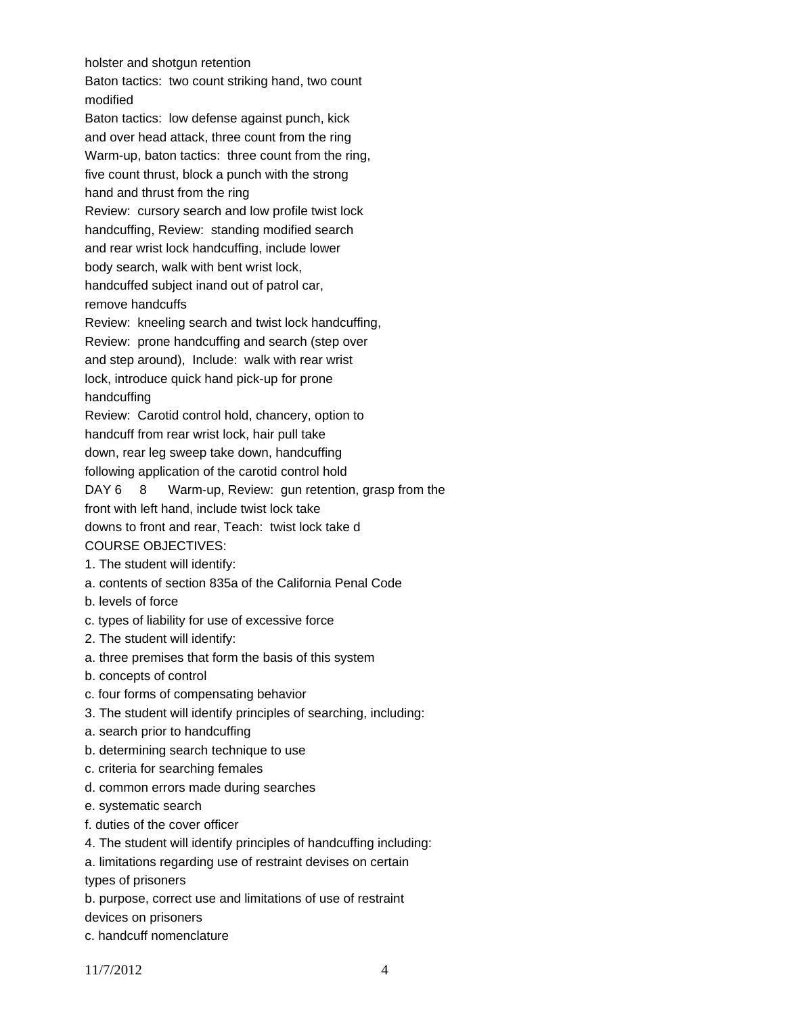holster and shotgun retention

Baton tactics: two count striking hand, two count modified Baton tactics: low defense against punch, kick and over head attack, three count from the ring Warm-up, baton tactics: three count from the ring, five count thrust, block a punch with the strong hand and thrust from the ring Review: cursory search and low profile twist lock handcuffing, Review: standing modified search and rear wrist lock handcuffing, include lower body search, walk with bent wrist lock, handcuffed subject inand out of patrol car, remove handcuffs Review: kneeling search and twist lock handcuffing, Review: prone handcuffing and search (step over and step around), Include: walk with rear wrist lock, introduce quick hand pick-up for prone handcuffing Review: Carotid control hold, chancery, option to handcuff from rear wrist lock, hair pull take down, rear leg sweep take down, handcuffing following application of the carotid control hold DAY 6 8 Warm-up, Review: gun retention, grasp from the front with left hand, include twist lock take downs to front and rear, Teach: twist lock take d COURSE OBJECTIVES: 1. The student will identify: a. contents of section 835a of the California Penal Code b. levels of force c. types of liability for use of excessive force 2. The student will identify: a. three premises that form the basis of this system b. concepts of control c. four forms of compensating behavior 3. The student will identify principles of searching, including: a. search prior to handcuffing b. determining search technique to use

- c. criteria for searching females
- d. common errors made during searches
- e. systematic search
- f. duties of the cover officer
- 4. The student will identify principles of handcuffing including:
- a. limitations regarding use of restraint devises on certain

types of prisoners

b. purpose, correct use and limitations of use of restraint

devices on prisoners

c. handcuff nomenclature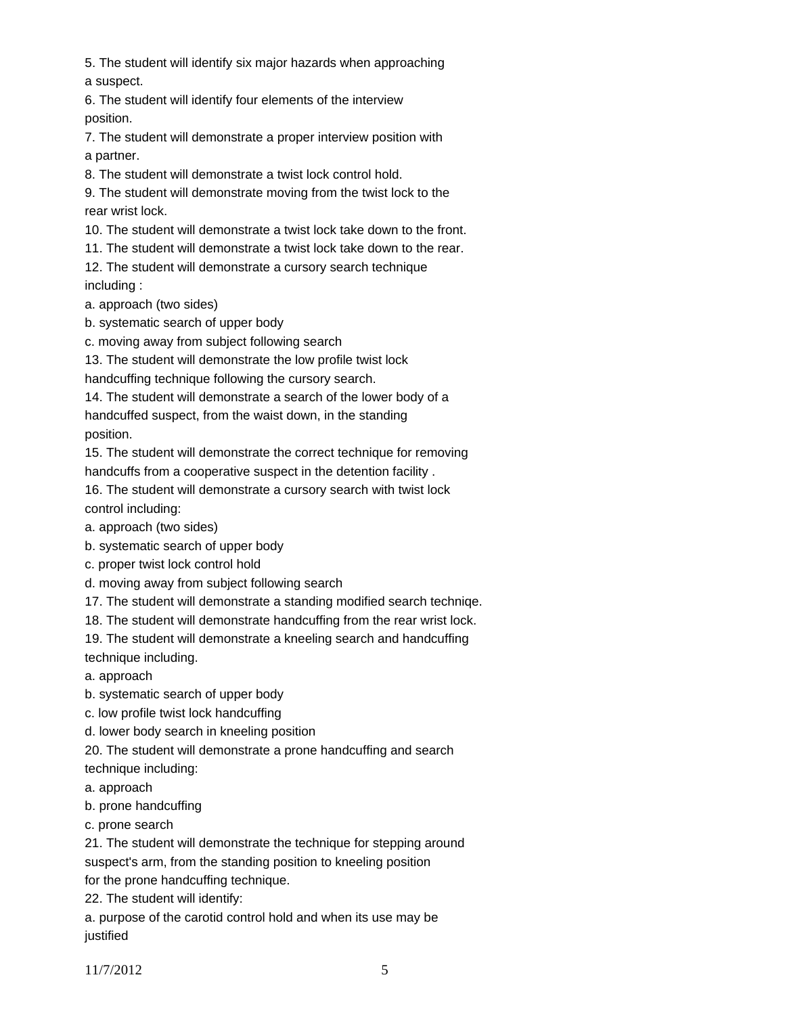5. The student will identify six major hazards when approaching a suspect.

6. The student will identify four elements of the interview position.

7. The student will demonstrate a proper interview position with a partner.

8. The student will demonstrate a twist lock control hold.

9. The student will demonstrate moving from the twist lock to the rear wrist lock.

10. The student will demonstrate a twist lock take down to the front.

11. The student will demonstrate a twist lock take down to the rear.

12. The student will demonstrate a cursory search technique including :

a. approach (two sides)

b. systematic search of upper body

c. moving away from subject following search

13. The student will demonstrate the low profile twist lock

handcuffing technique following the cursory search.

14. The student will demonstrate a search of the lower body of a handcuffed suspect, from the waist down, in the standing position.

15. The student will demonstrate the correct technique for removing handcuffs from a cooperative suspect in the detention facility .

16. The student will demonstrate a cursory search with twist lock control including:

a. approach (two sides)

b. systematic search of upper body

c. proper twist lock control hold

d. moving away from subject following search

17. The student will demonstrate a standing modified search techniqe.

18. The student will demonstrate handcuffing from the rear wrist lock.

19. The student will demonstrate a kneeling search and handcuffing technique including.

a. approach

b. systematic search of upper body

c. low profile twist lock handcuffing

d. lower body search in kneeling position

20. The student will demonstrate a prone handcuffing and search

technique including:

a. approach

b. prone handcuffing

c. prone search

21. The student will demonstrate the technique for stepping around suspect's arm, from the standing position to kneeling position for the prone handcuffing technique.

22. The student will identify:

a. purpose of the carotid control hold and when its use may be justified

11/7/2012 5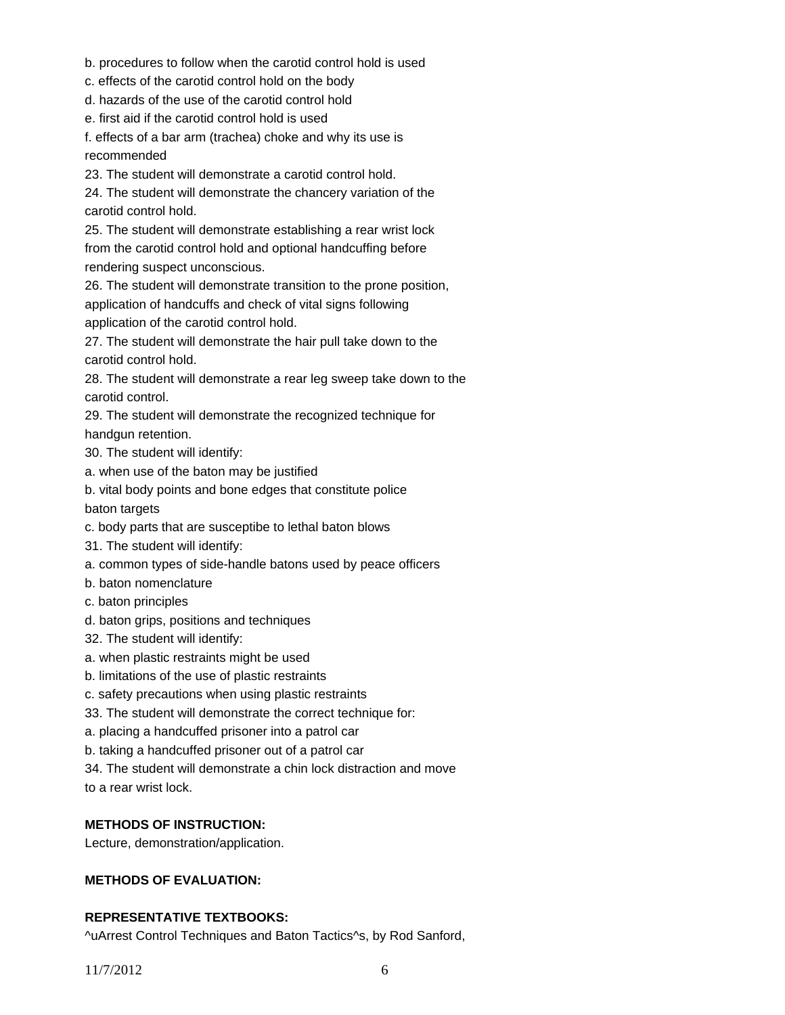- b. procedures to follow when the carotid control hold is used
- c. effects of the carotid control hold on the body
- d. hazards of the use of the carotid control hold
- e. first aid if the carotid control hold is used

f. effects of a bar arm (trachea) choke and why its use is recommended

23. The student will demonstrate a carotid control hold.

24. The student will demonstrate the chancery variation of the carotid control hold.

25. The student will demonstrate establishing a rear wrist lock from the carotid control hold and optional handcuffing before rendering suspect unconscious.

26. The student will demonstrate transition to the prone position, application of handcuffs and check of vital signs following application of the carotid control hold.

27. The student will demonstrate the hair pull take down to the carotid control hold.

28. The student will demonstrate a rear leg sweep take down to the carotid control.

29. The student will demonstrate the recognized technique for handgun retention.

30. The student will identify:

a. when use of the baton may be justified

b. vital body points and bone edges that constitute police baton targets

- c. body parts that are susceptibe to lethal baton blows
- 31. The student will identify:
- a. common types of side-handle batons used by peace officers
- b. baton nomenclature
- c. baton principles
- d. baton grips, positions and techniques
- 32. The student will identify:
- a. when plastic restraints might be used
- b. limitations of the use of plastic restraints
- c. safety precautions when using plastic restraints
- 33. The student will demonstrate the correct technique for:
- a. placing a handcuffed prisoner into a patrol car
- b. taking a handcuffed prisoner out of a patrol car

34. The student will demonstrate a chin lock distraction and move to a rear wrist lock.

### **METHODS OF INSTRUCTION:**

Lecture, demonstration/application.

## **METHODS OF EVALUATION:**

### **REPRESENTATIVE TEXTBOOKS:**

^uArrest Control Techniques and Baton Tactics^s, by Rod Sanford,